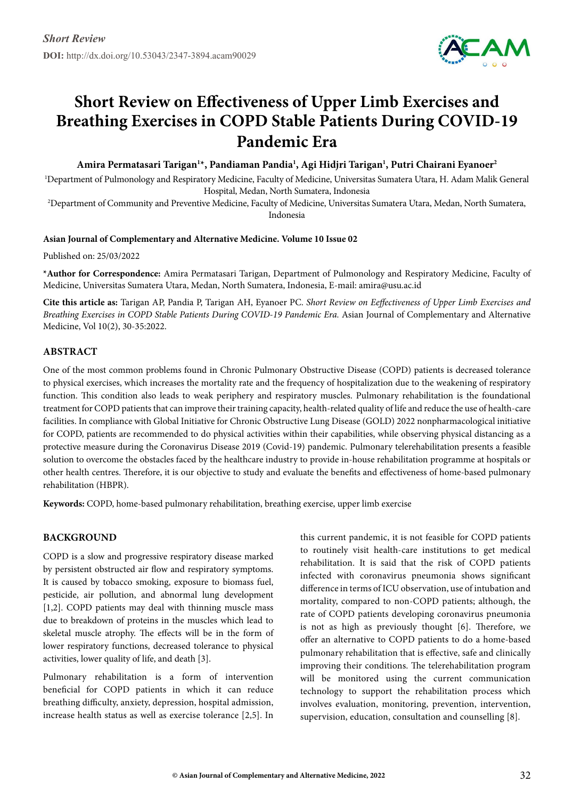

# **Short Review on Effectiveness of Upper Limb Exercises and Breathing Exercises in COPD Stable Patients During COVID-19 Pandemic Era**

Amira Permatasari Tarigan<sup>1</sup>\*, Pandiaman Pandia<sup>1</sup>, Agi Hidjri Tarigan<sup>1</sup>, Putri Chairani Eyanoer<sup>2</sup>

1 Department of Pulmonology and Respiratory Medicine, Faculty of Medicine, Universitas Sumatera Utara, H. Adam Malik General Hospital, Medan, North Sumatera, Indonesia

2 Department of Community and Preventive Medicine, Faculty of Medicine, Universitas Sumatera Utara, Medan, North Sumatera, Indonesia

#### **Asian Journal of Complementary and Alternative Medicine. Volume 10 Issue 02**

Published on: 25/03/2022

**\*Author for Correspondence:** Amira Permatasari Tarigan, Department of Pulmonology and Respiratory Medicine, Faculty of Medicine, Universitas Sumatera Utara, Medan, North Sumatera, Indonesia, E-mail: amira@usu.ac.id

**Cite this article as:** Tarigan AP, Pandia P, Tarigan AH, Eyanoer PC. *Short Review on Eeffectiveness of Upper Limb Exercises and Breathing Exercises in COPD Stable Patients During COVID-19 Pandemic Era.* Asian Journal of Complementary and Alternative Medicine, Vol 10(2), 30-35:2022.

## **Abstract**

One of the most common problems found in Chronic Pulmonary Obstructive Disease (COPD) patients is decreased tolerance to physical exercises, which increases the mortality rate and the frequency of hospitalization due to the weakening of respiratory function. This condition also leads to weak periphery and respiratory muscles. Pulmonary rehabilitation is the foundational treatment for COPD patients that can improve their training capacity, health-related quality of life and reduce the use of health-care facilities. In compliance with Global Initiative for Chronic Obstructive Lung Disease (GOLD) 2022 nonpharmacological initiative for COPD, patients are recommended to do physical activities within their capabilities, while observing physical distancing as a protective measure during the Coronavirus Disease 2019 (Covid-19) pandemic. Pulmonary telerehabilitation presents a feasible solution to overcome the obstacles faced by the healthcare industry to provide in-house rehabilitation programme at hospitals or other health centres. Therefore, it is our objective to study and evaluate the benefits and effectiveness of home-based pulmonary rehabilitation (HBPR).

**Keywords:** COPD, home-based pulmonary rehabilitation, breathing exercise, upper limb exercise

## **BACKGROUND**

COPD is a slow and progressive respiratory disease marked by persistent obstructed air flow and respiratory symptoms. It is caused by tobacco smoking, exposure to biomass fuel, pesticide, air pollution, and abnormal lung development [1,2]. COPD patients may deal with thinning muscle mass due to breakdown of proteins in the muscles which lead to skeletal muscle atrophy. The effects will be in the form of lower respiratory functions, decreased tolerance to physical activities, lower quality of life, and death [3].

Pulmonary rehabilitation is a form of intervention beneficial for COPD patients in which it can reduce breathing difficulty, anxiety, depression, hospital admission, increase health status as well as exercise tolerance [2,5]. In this current pandemic, it is not feasible for COPD patients to routinely visit health-care institutions to get medical rehabilitation. It is said that the risk of COPD patients infected with coronavirus pneumonia shows significant difference in terms of ICU observation, use of intubation and mortality, compared to non-COPD patients; although, the rate of COPD patients developing coronavirus pneumonia is not as high as previously thought [6]. Therefore, we offer an alternative to COPD patients to do a home-based pulmonary rehabilitation that is effective, safe and clinically improving their conditions. The telerehabilitation program will be monitored using the current communication technology to support the rehabilitation process which involves evaluation, monitoring, prevention, intervention, supervision, education, consultation and counselling [8].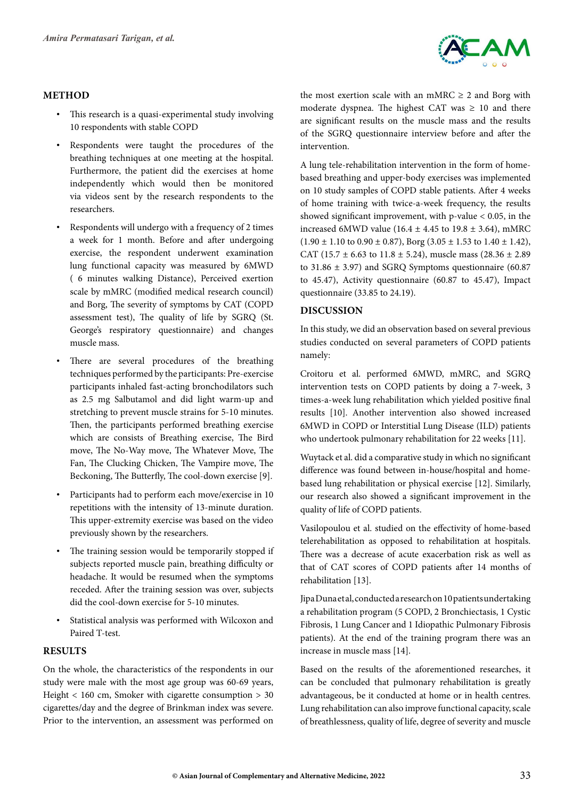

## **METHOD**

- This research is a quasi-experimental study involving 10 respondents with stable COPD
- • Respondents were taught the procedures of the breathing techniques at one meeting at the hospital. Furthermore, the patient did the exercises at home independently which would then be monitored via videos sent by the research respondents to the researchers.
- Respondents will undergo with a frequency of 2 times a week for 1 month. Before and after undergoing exercise, the respondent underwent examination lung functional capacity was measured by 6MWD ( 6 minutes walking Distance), Perceived exertion scale by mMRC (modified medical research council) and Borg, The severity of symptoms by CAT (COPD assessment test), The quality of life by SGRQ (St. George's respiratory questionnaire) and changes muscle mass.
- There are several procedures of the breathing techniques performed by the participants: Pre-exercise participants inhaled fast-acting bronchodilators such as 2.5 mg Salbutamol and did light warm-up and stretching to prevent muscle strains for 5-10 minutes. Then, the participants performed breathing exercise which are consists of Breathing exercise, The Bird move, The No-Way move, The Whatever Move, The Fan, The Clucking Chicken, The Vampire move, The Beckoning, The Butterfly, The cool-down exercise [9].
- • Participants had to perform each move/exercise in 10 repetitions with the intensity of 13-minute duration. This upper-extremity exercise was based on the video previously shown by the researchers.
- The training session would be temporarily stopped if subjects reported muscle pain, breathing difficulty or headache. It would be resumed when the symptoms receded. After the training session was over, subjects did the cool-down exercise for 5-10 minutes.
- Statistical analysis was performed with Wilcoxon and Paired T-test.

## **RESULTS**

On the whole, the characteristics of the respondents in our study were male with the most age group was 60-69 years, Height < 160 cm, Smoker with cigarette consumption > 30 cigarettes/day and the degree of Brinkman index was severe. Prior to the intervention, an assessment was performed on the most exertion scale with an mMRC  $\geq 2$  and Borg with moderate dyspnea. The highest CAT was  $\geq 10$  and there are significant results on the muscle mass and the results of the SGRQ questionnaire interview before and after the intervention.

A lung tele-rehabilitation intervention in the form of homebased breathing and upper-body exercises was implemented on 10 study samples of COPD stable patients. After 4 weeks of home training with twice-a-week frequency, the results showed significant improvement, with  $p$ -value  $< 0.05$ , in the increased 6MWD value (16.4  $\pm$  4.45 to 19.8  $\pm$  3.64), mMRC  $(1.90 \pm 1.10 \text{ to } 0.90 \pm 0.87)$ , Borg  $(3.05 \pm 1.53 \text{ to } 1.40 \pm 1.42)$ , CAT (15.7  $\pm$  6.63 to 11.8  $\pm$  5.24), muscle mass (28.36  $\pm$  2.89 to  $31.86 \pm 3.97$ ) and SGRQ Symptoms questionnaire (60.87) to 45.47), Activity questionnaire (60.87 to 45.47), Impact questionnaire (33.85 to 24.19).

## **DISCUSSION**

In this study, we did an observation based on several previous studies conducted on several parameters of COPD patients namely:

Croitoru et al. performed 6MWD, mMRC, and SGRQ intervention tests on COPD patients by doing a 7-week, 3 times-a-week lung rehabilitation which yielded positive final results [10]. Another intervention also showed increased 6MWD in COPD or Interstitial Lung Disease (ILD) patients who undertook pulmonary rehabilitation for 22 weeks [11].

Wuytack et al. did a comparative study in which no significant difference was found between in-house/hospital and homebased lung rehabilitation or physical exercise [12]. Similarly, our research also showed a significant improvement in the quality of life of COPD patients.

Vasilopoulou et al. studied on the effectivity of home-based telerehabilitation as opposed to rehabilitation at hospitals. There was a decrease of acute exacerbation risk as well as that of CAT scores of COPD patients after 14 months of rehabilitation [13].

Jipa Duna et al, conducted a research on 10 patients undertaking a rehabilitation program (5 COPD, 2 Bronchiectasis, 1 Cystic Fibrosis, 1 Lung Cancer and 1 Idiopathic Pulmonary Fibrosis patients). At the end of the training program there was an increase in muscle mass [14].

Based on the results of the aforementioned researches, it can be concluded that pulmonary rehabilitation is greatly advantageous, be it conducted at home or in health centres. Lung rehabilitation can also improve functional capacity, scale of breathlessness, quality of life, degree of severity and muscle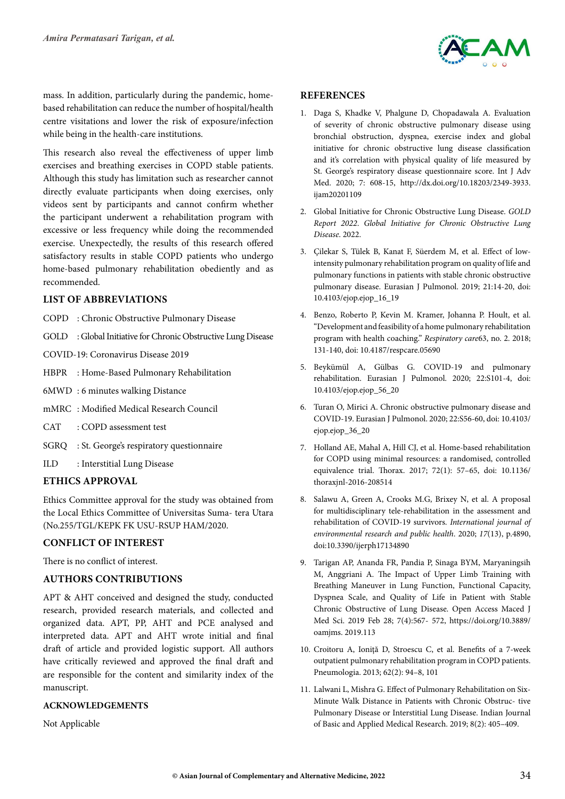

mass. In addition, particularly during the pandemic, homebased rehabilitation can reduce the number of hospital/health centre visitations and lower the risk of exposure/infection while being in the health-care institutions.

This research also reveal the effectiveness of upper limb exercises and breathing exercises in COPD stable patients. Although this study has limitation such as researcher cannot directly evaluate participants when doing exercises, only videos sent by participants and cannot confirm whether the participant underwent a rehabilitation program with excessive or less frequency while doing the recommended exercise. Unexpectedly, the results of this research offered satisfactory results in stable COPD patients who undergo home-based pulmonary rehabilitation obediently and as recommended.

## **LIST OF ABBREVIATIONS**

- COPD : Chronic Obstructive Pulmonary Disease
- GOLD : Global Initiative for Chronic Obstructive Lung Disease
- COVID-19: Coronavirus Disease 2019
- HBPR : Home-Based Pulmonary Rehabilitation
- 6MWD : 6 minutes walking Distance
- mMRC : Modified Medical Research Council
- CAT : COPD assessment test
- SGRQ : St. George's respiratory questionnaire
- ILD : Interstitial Lung Disease

# **ETHICS APPROVAL**

Ethics Committee approval for the study was obtained from the Local Ethics Committee of Universitas Suma- tera Utara (No.255/TGL/KEPK FK USU-RSUP HAM/2020.

## **CONFLICT OF INTEREST**

There is no conflict of interest.

## **AUTHORS CONTRIBUTIONS**

APT & AHT conceived and designed the study, conducted research, provided research materials, and collected and organized data. APT, PP, AHT and PCE analysed and interpreted data. APT and AHT wrote initial and final draft of article and provided logistic support. All authors have critically reviewed and approved the final draft and are responsible for the content and similarity index of the manuscript.

#### **ACKNOWLEDGEMENTS**

Not Applicable

#### **References**

- 1. Daga S, Khadke V, Phalgune D, Chopadawala A. Evaluation of severity of chronic obstructive pulmonary disease using bronchial obstruction, dyspnea, exercise index and global initiative for chronic obstructive lung disease classification and it's correlation with physical quality of life measured by St. George's respiratory disease questionnaire score. Int J Adv Med. 2020; 7: 608-15, http://dx.doi.org/10.18203/2349-3933. ijam20201109
- 2. Global Initiative for Chronic Obstructive Lung Disease. *GOLD Report 2022*. *Global Initiative for Chronic Obstructive Lung Disease*. 2022.
- 3. Çilekar S, Tülek B, Kanat F, Süerdem M, et al. Effect of lowintensity pulmonary rehabilitation program on quality of life and pulmonary functions in patients with stable chronic obstructive pulmonary disease. Eurasian J Pulmonol. 2019; 21:14-20, doi: 10.4103/ejop.ejop\_16\_19
- 4. Benzo, Roberto P, Kevin M. Kramer, Johanna P. Hoult, et al. "Development and feasibility of a home pulmonary rehabilitation program with health coaching." *Respiratory care*63, no. 2. 2018; 131-140, doi: 10.4187/respcare.05690
- 5. Beykümül A, Gülbas G. COVID-19 and pulmonary rehabilitation. Eurasian J Pulmonol. 2020; 22:S101-4, doi: 10.4103/ejop.ejop\_56\_20
- 6. Turan O, Mirici A. Chronic obstructive pulmonary disease and COVID-19. Eurasian J Pulmonol. 2020; 22:S56-60, doi: 10.4103/ ejop.ejop\_36\_20
- 7. Holland AE, Mahal A, Hill CJ, et al. Home-based rehabilitation for COPD using minimal resources: a randomised, controlled equivalence trial. Thorax. 2017; 72(1): 57–65, doi: 10.1136/ thoraxjnl-2016-208514
- 8. Salawu A, Green A, Crooks M.G, Brixey N, et al. A proposal for multidisciplinary tele-rehabilitation in the assessment and rehabilitation of COVID-19 survivors. *International journal of environmental research and public health*. 2020; *17*(13), p.4890, doi:10.3390/ijerph17134890
- 9. Tarigan AP, Ananda FR, Pandia P, Sinaga BYM, Maryaningsih M, Anggriani A. The Impact of Upper Limb Training with Breathing Maneuver in Lung Function, Functional Capacity, Dyspnea Scale, and Quality of Life in Patient with Stable Chronic Obstructive of Lung Disease. Open Access Maced J Med Sci. 2019 Feb 28; 7(4):567- 572, [https://doi.org/10.3889/](https://doi.org/10.3889/oamjms) [oamjms](https://doi.org/10.3889/oamjms). 2019.113
- 10. Croitoru A, Ioniţă D, Stroescu C, et al. Benefits of a 7-week outpatient pulmonary rehabilitation program in COPD patients. Pneumologia. 2013; 62(2): 94–8, 101
- 11. Lalwani L, Mishra G. Effect of Pulmonary Rehabilitation on Six-Minute Walk Distance in Patients with Chronic Obstruc- tive Pulmonary Disease or Interstitial Lung Disease. Indian Journal of Basic and Applied Medical Research. 2019; 8(2): 405–409.